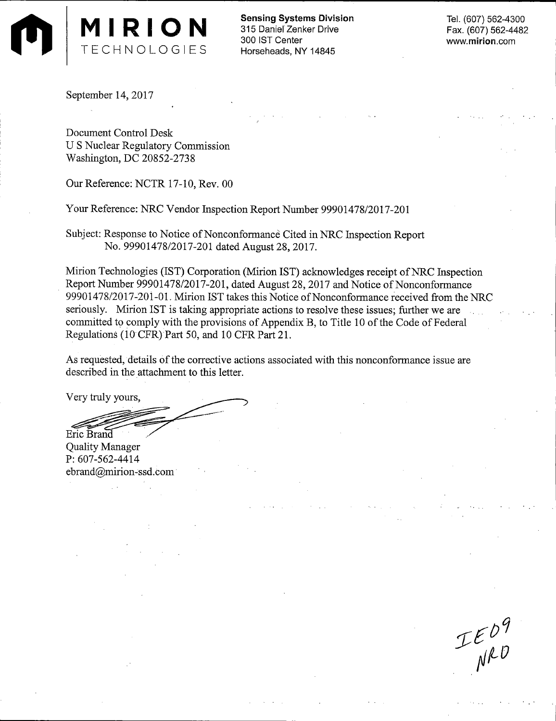

**Sensing Systems** Division 315 Daniel Zenker Drive 300 IST Center Horseheads, NY 14845

Tel. (607) 562-4300 Fax. (607) 562-4482 www.mirion.com

September 14, 2017

Document Control Desk U S Nuclear Regulatory Commission Washington, DC 20852-2738

Our Reference: NCTR 17-10, Rev. 00

Your Reference: NRC Vendor Inspection Report Number 99901478/2017-201

Subject: Response to Notice of Nonconformance Cited in NRC Inspection Report No. 99901478/2017-201 dated August 28, 2017.

Mirion Technologies (IST) Corporation (Mirion IST) acknowledges receipt of NRC Inspection Report Number 99901478/2017-201, dated August 28, 2017 and Notice of Nonconformance 99901478/2017-201-01. Mirion IST takes this Notice of Nonconformance received from the NRC seriously. Mirion IST is taking appropriate actions to resolve these issues; further we are committed to comply with the provisions of Appendix B, to Title 10 of the Code of Federal Regulations (lO·CFR)Part 50, and 10 CFR Part 21.

As requested, details of the corrective actions associated with this nonconformance issue are described in the attachment to this letter.

Very truly yours,

Eric Brand

**Quality Manager** P: 607-562-4414 ebrand@mirion-ssd.com

 $IED9$ <br> $NRD$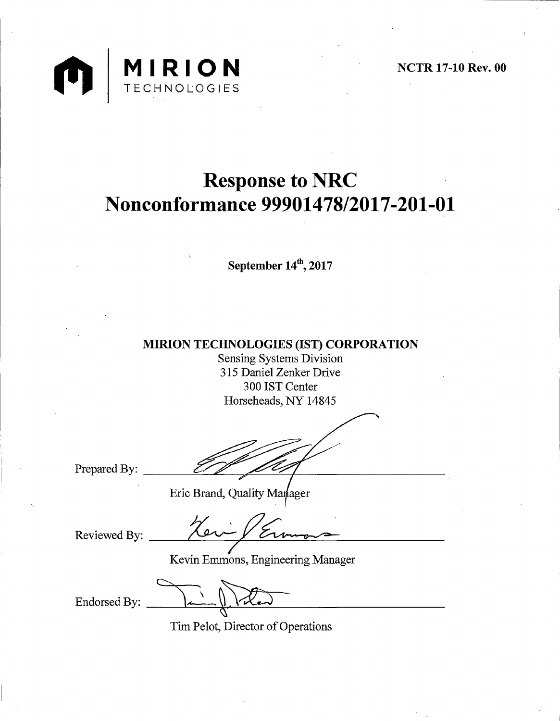

# **Response to NRC Nonconformance 99901478/2017-201-01**

September  $14<sup>th</sup>$ , 2017

MIRION TECHNOLOGIES (IST) CORPORATION

Sensing Systems Division 315 Daniel Zenker Drive 300 IST Center Horseheads, NY 14845

Prepared By:

Reviewed By:

Brand, Quality Markager

Kevin Emmons, Engineering Manager

Endorsed By:

Tim Pelot, Director of Operations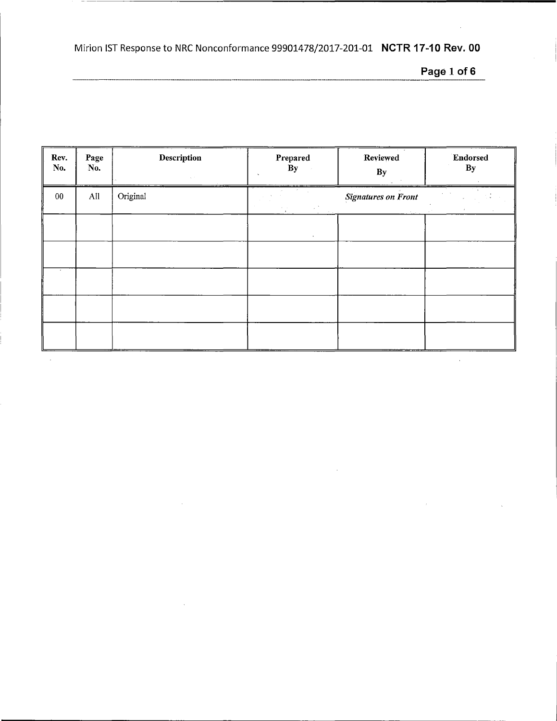**Page 1of6** 

 $\alpha$ 

| Rev.<br>No. | Page<br>No. | <b>Description</b><br>$\eta_{\rm c}$ , $\tau_{\rm c}$ | Prepared<br>By              | Reviewed<br>$\mathbf{B}\mathbf{y}$ | Endorsed<br>By |
|-------------|-------------|-------------------------------------------------------|-----------------------------|------------------------------------|----------------|
| $00\,$      | All         | Original                                              | <b>A</b><br>$\frac{1}{\pi}$ | <b>Signatures on Front</b>         |                |
|             |             |                                                       | $\bullet$                   |                                    |                |
|             |             |                                                       |                             |                                    |                |
|             |             |                                                       |                             |                                    |                |
|             |             |                                                       |                             |                                    |                |
|             |             |                                                       |                             |                                    |                |

 $\hat{\boldsymbol{\beta}}$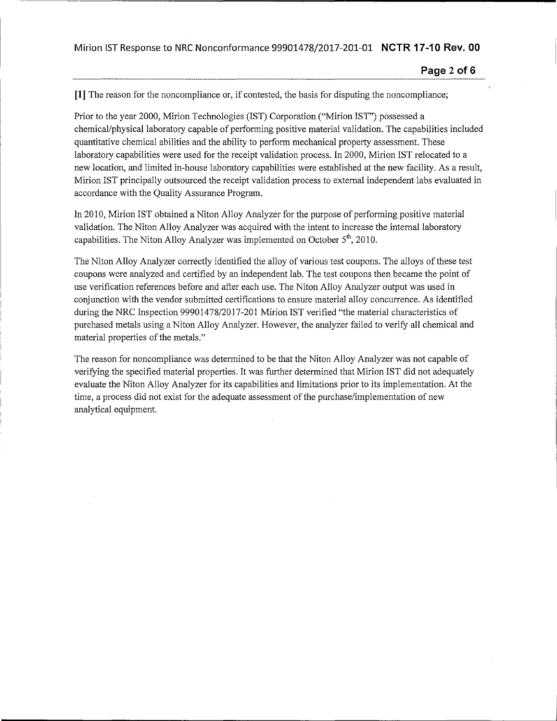**Page 2 of 6** 

**[1]** The reason for the noncompliance or, if contested, the basis for disputing the noncompliance;

Prior to the year 2000, Mirion Technologies (IST) Corporation ("Mirion IST") possessed a chemical/physical laboratory capable of performing positive material validation. The capabilities included quantitative chemical abilities and the ability to perform mechanical property assessment. These laboratory capabilities were used for the receipt validation process. In 2000, Mirion IST relocated to a new location, and limited in-house laboratory capabilities were established at the new facility. As a result, Mirion IST principally outsourced the receipt validation process to external independent labs evaluated in accordance with the Quality Assurance Program.

In 2010, Mirion IST obtained a Niton Alloy Analyzer for the purpose of performing positive material validation. The Niton Alloy Analyzer was acquired with the intent to increase the internal laboratory capabilities. The Niton Alloy Analyzer was implemented on October  $5<sup>th</sup>$ , 2010.

The Niton Alloy Analyzer correctly identified the alloy of various test coupons. The alloys of these test coupons were analyzed and certified by an independent lab. The test coupons then became the point of use verification references before and after each use. The Niton Alloy Analyzer output was used in conjunction with the vendor submitted certifications to ensure material alloy concurrence. As identified during the NRC Inspection 99901478/2017-201 Mirion IST verified "the material characteristics of purchased metals using a Niton Alloy Analyzer. However, the analyzer failed to verify all chemical and material properties of the metals."

The reason for noncompliance was determined to be that the Niton Alloy Analyzer was not capable of verifying the specified material properties. It was further determined that Mirion IST did not adequately evaluate the Niton Alloy Analyzer for its capabilities and limitations prior to its implementation. At the time, a process did not exist for the adequate assessment of the purchase/implementation of new analytical equipment.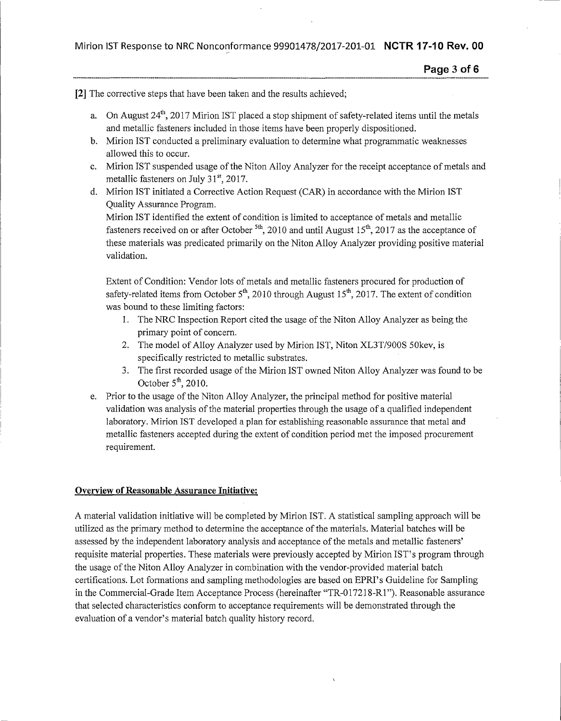[2] The corrective steps that have been taken and the results achieved;

- a. On August  $24^{th}$ , 2017 Mirion IST placed a stop shipment of safety-related items until the metals and metallic fasteners included in those items have been properly dispositioned.
- b. Mirion IST conducted a preliminary evaluation to determine what programmatic weaknesses allowed this to occur.
- c. Mirion IST suspended usage of the Niton Alloy Analyzer for the receipt acceptance of metals and metallic fasteners on July  $31^{\rm st}$ , 2017.
- d. Mirion IST initiated a Corrective Action Request (CAR) in accordance with the Mirion IST Quality Assurance Program.

Mirion IST identified the extent of condition is limited to acceptance of metals and metallic fasteners received on or after October <sup>5th</sup>, 2010 and until August 15<sup>th</sup>, 2017 as the acceptance of these materials was predicated primarily on the Niton Alloy Analyzer providing positive material validation.

Extent of Condition: Vendor lots of metals and metallic fasteners procured for production of safety-related items from October  $5<sup>th</sup>$ , 2010 through August 15<sup>th</sup>, 2017. The extent of condition was bound to these limiting factors:

- 1. The NRC Inspection Report cited the usage of the Niton Alloy Analyzer as being the primary point of concern.
- 2. The model of Alloy Analyzer used by Mirion IST, Niton XL3T/900S 50kev, is specifically restricted to metallic substrates.
- 3. The first recorded usage of the Mirion IST owned Niton Alloy Analyzer was found to be October  $5<sup>th</sup>$ , 2010.
- e. Prior to the usage of the Niton Alloy Analyzer, the principal method for positive material validation was analysis of the material properties through the usage of a qualified independent laboratory. Mirion IST developed a plan for establishing reasonable assurance that metal and metallic fasteners accepted during the extent of condition period met the imposed procurement requirement.

## Overview of Reasonable Assurance Initiative:

A material validation initiative will be completed by Mirion IST. A statistical sampling approach will be utilized as the primary method to determine the acceptance of the materials. Material batches will be assessed by the independent laboratory analysis and acceptance of the metals and metallic fasteners' requisite material properties. These materials were previously accepted by Mirion IST's program through the usage of the Niton Alloy Analyzer in combination with the vendor-provided material batch certifications. Lot formations and sampling methodologies are based on EPRI's Guideline for Sampling in the Commercial-Grade Item Acceptance Process (hereinafter "TR-017218-R1 "). Reasonable assurance that selected characteristics conform to acceptance requirements will be demonstrated through the evaluation of a vendor's material batch quality history record.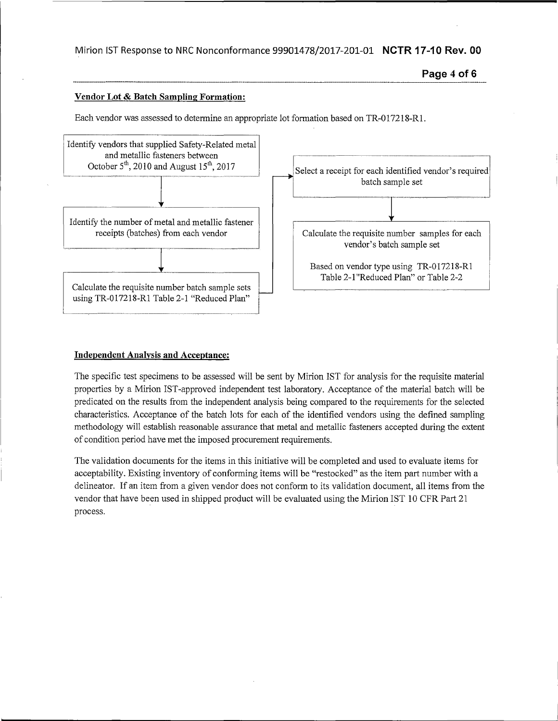### Vendor Lot & Batch Sampling Formation:

Each vendor was assessed to determine an appropriate lot formation based on TR-017218-Rl.



#### Independent Analysis and Acceptance:

The specific test specimens to be assessed will be sent by Mirian IST for analysis for the requisite material properties by a Mirian !ST-approved independent test laboratory. Acceptance of the material batch will be predicated on the results from the independent analysis being compared to the requirements for the selected characteristics. Acceptance of the batch lots for each of the identified vendors using the defined sampling methodology will establish reasonable assurance that metal and metallic fasteners accepted during the extent of condition period have met the imposed procurement requirements.

The validation documents for the items in this initiative will be completed and used to evaluate items for acceptability. Existing inventory of conforming items will be "restocked" as the item part number with a delineator. If an item from a given vendor does not conform to its validation document, all items from the vendor that have been used in shipped product will be evaluated using the Mirion IST 10 CFR Part 21 process.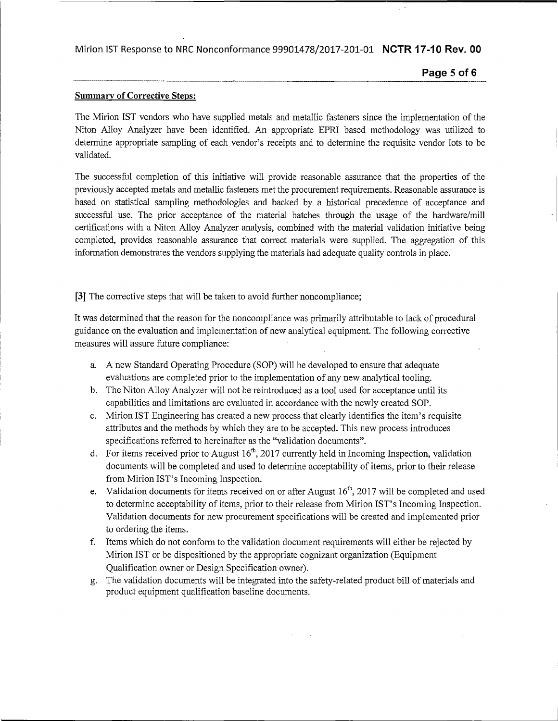**Page 5of6** 

## Summary of Corrective Steps:

The Mirion IST vendors who have supplied metals and metallic fasteners since the implementation of the Niton Alloy Analyzer have been identified. An appropriate EPRI based methodology was utilized to determine appropriate sampling of each vendor's receipts and to determine the requisite vendor lots to be validated.

The successful completion of this initiative will provide reasonable assurance that the properties of the previously accepted metals and metallic fasteners met the procurement requirements. Reasonable assurance is based on statistical sampling methodologies and backed by a historical precedence of acceptance and successful use. The prior acceptance of the material batches through the usage of the hardware/mill certifications with a Niton Alloy Analyzer analysis, combined with the material validation initiative being completed, provides reasonable assurance that correct materials were supplied. The aggregation of this information demonstrates the vendors supplying the materials had adequate quality controls in place.

[3] The corrective steps that will be taken to avoid further noncompliance;

It was determined that the reason for the noncompliance was primarily attributable to lack of procedural guidance on the evaluation and implementation of new analytical equipment. The following corrective measures will assure future compliance:

- a. A new Standard Operating Procedure (SOP) will be developed to ensure that adequate evaluations are completed prior to the implementation of any new analytical tooling.
- b. The Niton Alloy Analyzer will not be reintroduced as a tool used for acceptance until its capabilities and limitations are evaluated in accordance with the newly created SOP.
- c. Mirion IST Engineering has created a new process that clearly identifies the item's requisite attributes and the methods by which they are to be accepted. This new process introduces specifications referred to hereinafter as the "validation documents".
- d. For items received prior to August  $16<sup>th</sup>$ , 2017 currently held in Incoming Inspection, validation documents will be completed and used to determine acceptability of items, prior to their release from Mirion IST's Incoming Inspection.
- e. Validation documents for items received on or after August  $16<sup>th</sup>$ , 2017 will be completed and used to determine acceptability of items, prior to their release from Mirion IST's Incoming Inspection. Validation documents for new procurement specifications will be created and implemented prior to ordering the items.
- f. Items which do not conform to the validation document requirements will either be rejected by Mirion IST or be dispositioned by the appropriate cognizant organization (Equipment Qualification owner or Design Specification owner).
- g. The validation documents will be integrated into the safety-related product bill of materials and product equipment qualification baseline documents.